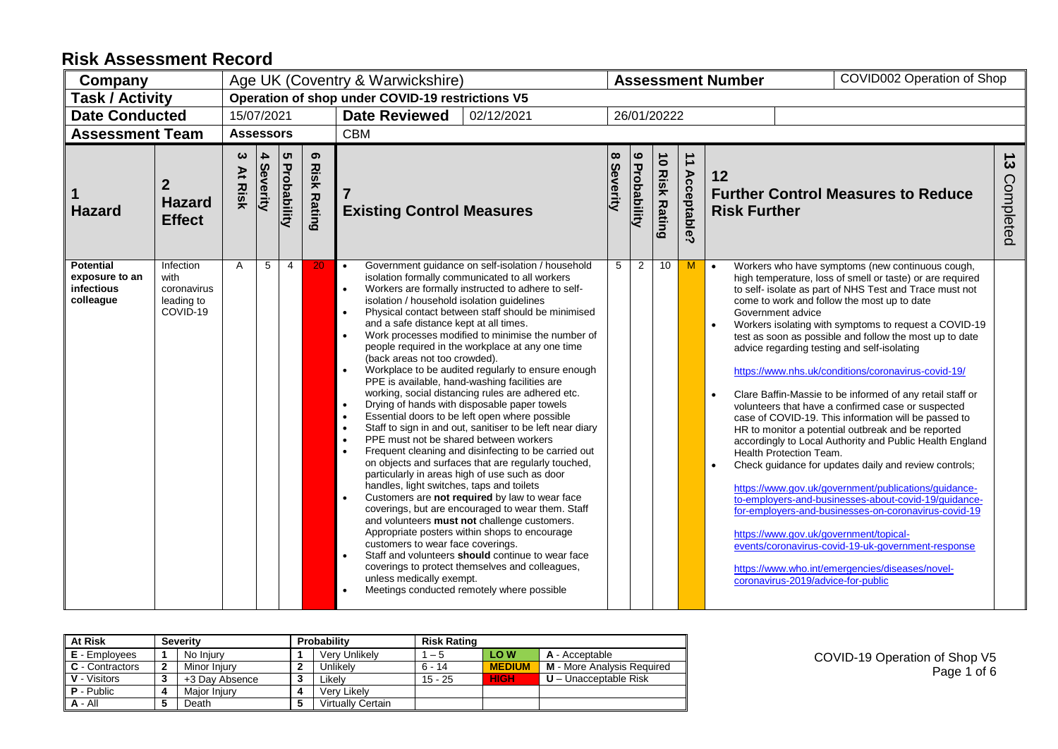| Company                                                       |                                                            |                        |               |                                |                         | Age UK (Coventry & Warwickshire)                                                                                                                                                                                                                                                                                                                                                                                                                                                                                                                                                                                                                                                                                                                                                                                                                                                                                                                                                                                                                                                                                                                                                                                                                                                                                                                                                                                                                                                                                                                                            | COVID002 Operation of Shop<br><b>Assessment Number</b> |   |             |   |                                                                                                                                                                                                                                 |                                                                                                                                                                                                                                                                                                                                                                                                                                                                                                                                                                                                                                                                                                                                                                                                                                                                                                                                                                                                                                           |  |  |  |  |
|---------------------------------------------------------------|------------------------------------------------------------|------------------------|---------------|--------------------------------|-------------------------|-----------------------------------------------------------------------------------------------------------------------------------------------------------------------------------------------------------------------------------------------------------------------------------------------------------------------------------------------------------------------------------------------------------------------------------------------------------------------------------------------------------------------------------------------------------------------------------------------------------------------------------------------------------------------------------------------------------------------------------------------------------------------------------------------------------------------------------------------------------------------------------------------------------------------------------------------------------------------------------------------------------------------------------------------------------------------------------------------------------------------------------------------------------------------------------------------------------------------------------------------------------------------------------------------------------------------------------------------------------------------------------------------------------------------------------------------------------------------------------------------------------------------------------------------------------------------------|--------------------------------------------------------|---|-------------|---|---------------------------------------------------------------------------------------------------------------------------------------------------------------------------------------------------------------------------------|-------------------------------------------------------------------------------------------------------------------------------------------------------------------------------------------------------------------------------------------------------------------------------------------------------------------------------------------------------------------------------------------------------------------------------------------------------------------------------------------------------------------------------------------------------------------------------------------------------------------------------------------------------------------------------------------------------------------------------------------------------------------------------------------------------------------------------------------------------------------------------------------------------------------------------------------------------------------------------------------------------------------------------------------|--|--|--|--|
| <b>Task / Activity</b>                                        |                                                            |                        |               |                                |                         | Operation of shop under COVID-19 restrictions V5                                                                                                                                                                                                                                                                                                                                                                                                                                                                                                                                                                                                                                                                                                                                                                                                                                                                                                                                                                                                                                                                                                                                                                                                                                                                                                                                                                                                                                                                                                                            |                                                        |   |             |   |                                                                                                                                                                                                                                 |                                                                                                                                                                                                                                                                                                                                                                                                                                                                                                                                                                                                                                                                                                                                                                                                                                                                                                                                                                                                                                           |  |  |  |  |
| <b>Date Conducted</b>                                         |                                                            | 15/07/2021             |               |                                |                         | <b>Date Reviewed</b><br>02/12/2021                                                                                                                                                                                                                                                                                                                                                                                                                                                                                                                                                                                                                                                                                                                                                                                                                                                                                                                                                                                                                                                                                                                                                                                                                                                                                                                                                                                                                                                                                                                                          |                                                        |   | 26/01/20222 |   |                                                                                                                                                                                                                                 |                                                                                                                                                                                                                                                                                                                                                                                                                                                                                                                                                                                                                                                                                                                                                                                                                                                                                                                                                                                                                                           |  |  |  |  |
| <b>Assessment Team</b>                                        |                                                            | <b>Assessors</b>       |               |                                |                         | <b>CBM</b>                                                                                                                                                                                                                                                                                                                                                                                                                                                                                                                                                                                                                                                                                                                                                                                                                                                                                                                                                                                                                                                                                                                                                                                                                                                                                                                                                                                                                                                                                                                                                                  |                                                        |   |             |   |                                                                                                                                                                                                                                 |                                                                                                                                                                                                                                                                                                                                                                                                                                                                                                                                                                                                                                                                                                                                                                                                                                                                                                                                                                                                                                           |  |  |  |  |
| <b>Hazard</b>                                                 | $\boldsymbol{2}$<br><b>Hazard</b><br><b>Effect</b>         | ယ<br>Àt<br><b>Risk</b> | 4<br>Severity | <b>ຕ</b><br><b>Probability</b> | ၜ<br><b>Risk Rating</b> | 9 Probability<br>8 Severity<br>$\overrightarrow{ }$<br><b>10 Risk Rating</b><br><b>Acceptable?</b><br>12<br>$\overline{7}$<br><b>Further Control Measures to Reduce</b><br><b>Existing Control Measures</b><br><b>Risk Further</b>                                                                                                                                                                                                                                                                                                                                                                                                                                                                                                                                                                                                                                                                                                                                                                                                                                                                                                                                                                                                                                                                                                                                                                                                                                                                                                                                          |                                                        |   |             |   |                                                                                                                                                                                                                                 | $\frac{1}{3}$<br>Completed                                                                                                                                                                                                                                                                                                                                                                                                                                                                                                                                                                                                                                                                                                                                                                                                                                                                                                                                                                                                                |  |  |  |  |
| <b>Potential</b><br>exposure to an<br>infectious<br>colleague | Infection<br>with<br>coronavirus<br>leading to<br>COVID-19 | A                      | 5             | $\overline{4}$                 | 20                      | Government guidance on self-isolation / household<br>$\bullet$<br>isolation formally communicated to all workers<br>Workers are formally instructed to adhere to self-<br>$\bullet$<br>isolation / household isolation guidelines<br>Physical contact between staff should be minimised<br>$\bullet$<br>and a safe distance kept at all times.<br>Work processes modified to minimise the number of<br>$\bullet$<br>people required in the workplace at any one time<br>(back areas not too crowded).<br>Workplace to be audited regularly to ensure enough<br>$\bullet$<br>PPE is available, hand-washing facilities are<br>working, social distancing rules are adhered etc.<br>Drying of hands with disposable paper towels<br>$\bullet$<br>Essential doors to be left open where possible<br>Staff to sign in and out, sanitiser to be left near diary<br>PPE must not be shared between workers<br>$\bullet$<br>Frequent cleaning and disinfecting to be carried out<br>on objects and surfaces that are regularly touched,<br>particularly in areas high of use such as door<br>handles, light switches, taps and toilets<br>Customers are not required by law to wear face<br>$\bullet$<br>coverings, but are encouraged to wear them. Staff<br>and volunteers must not challenge customers.<br>Appropriate posters within shops to encourage<br>customers to wear face coverings.<br>Staff and volunteers should continue to wear face<br>coverings to protect themselves and colleagues,<br>unless medically exempt.<br>Meetings conducted remotely where possible | 5                                                      | 2 | 10          | M | $\bullet$<br>Government advice<br>$\bullet$<br>advice regarding testing and self-isolating<br>$\bullet$<br>Health Protection Team.<br>$\bullet$<br>https://www.gov.uk/government/topical-<br>coronavirus-2019/advice-for-public | Workers who have symptoms (new continuous cough,<br>high temperature, loss of smell or taste) or are required<br>to self- isolate as part of NHS Test and Trace must not<br>come to work and follow the most up to date<br>Workers isolating with symptoms to request a COVID-19<br>test as soon as possible and follow the most up to date<br>https://www.nhs.uk/conditions/coronavirus-covid-19/<br>Clare Baffin-Massie to be informed of any retail staff or<br>volunteers that have a confirmed case or suspected<br>case of COVID-19. This information will be passed to<br>HR to monitor a potential outbreak and be reported<br>accordingly to Local Authority and Public Health England<br>Check guidance for updates daily and review controls;<br>https://www.gov.uk/government/publications/guidance-<br>to-employers-and-businesses-about-covid-19/quidance-<br>for-employers-and-businesses-on-coronavirus-covid-19<br>events/coronavirus-covid-19-uk-government-response<br>https://www.who.int/emergencies/diseases/novel- |  |  |  |  |

| <b>At Risk</b>                 | <b>Severity</b> | Probability              | <b>Risk Rating</b> |                 |                                   |
|--------------------------------|-----------------|--------------------------|--------------------|-----------------|-----------------------------------|
| <b>E</b> - Employees           | No Injury       | Verv Unlikelv            | – 5                | LOW <sub></sub> | A - Acceptable                    |
| $\blacksquare$ C - Contractors | Minor Injury    | Jnlikelv                 | $6 - 14$           | <b>MEDIUM</b>   | <b>M</b> - More Analysis Required |
| <b>V</b> - Visitors            | +3 Day Absence  | ∟ikelv                   | 15 - 25            | <b>HIGH</b>     | $U -$ Unacceptable Risk           |
| $\mathsf I$ <b>P</b> - Public  | Maior Iniurv    | Verv Likelv              |                    |                 |                                   |
| A - All                        | Death           | <b>Virtually Certain</b> |                    |                 |                                   |

COVID-19 Operation of Shop V5 Page 1 of 6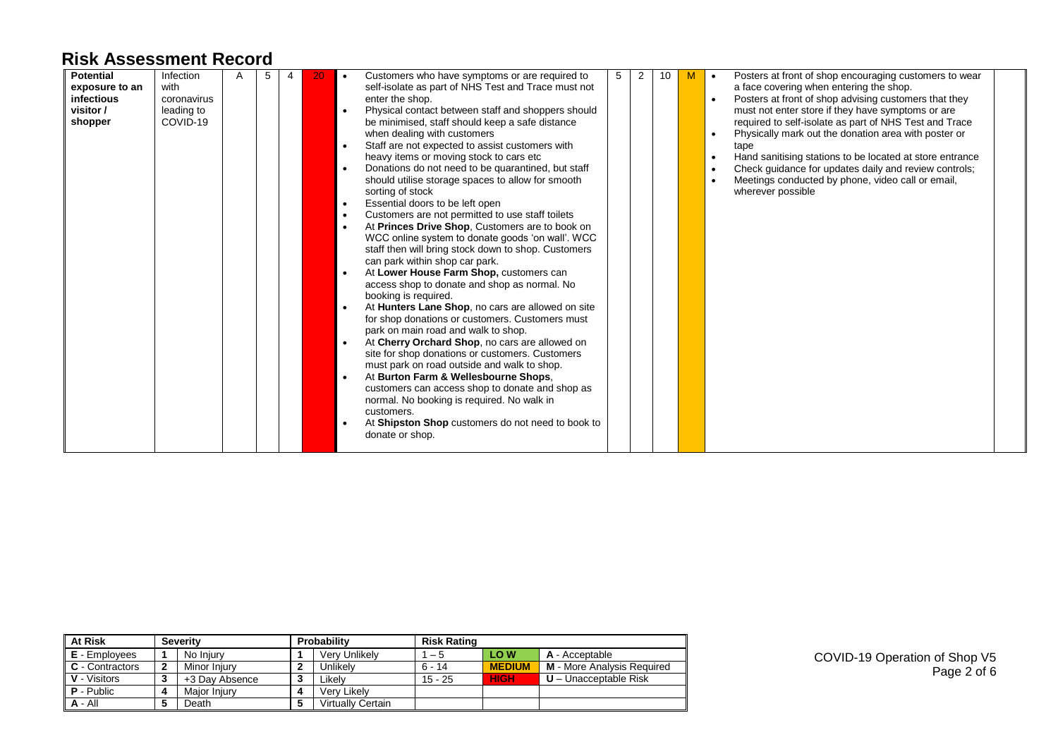| <b>Potential</b>  | Infection   | 5 |  | $\bullet$ | Customers who have symptoms or are required to      | 5 | 2 | 10 | Posters at front of shop encouraging customers to wear   |
|-------------------|-------------|---|--|-----------|-----------------------------------------------------|---|---|----|----------------------------------------------------------|
| exposure to an    | with        |   |  |           | self-isolate as part of NHS Test and Trace must not |   |   |    | a face covering when entering the shop.                  |
| <b>infectious</b> | coronavirus |   |  |           | enter the shop.                                     |   |   |    | Posters at front of shop advising customers that they    |
| visitor /         | leading to  |   |  | $\bullet$ | Physical contact between staff and shoppers should  |   |   |    | must not enter store if they have symptoms or are        |
| shopper           | COVID-19    |   |  |           | be minimised, staff should keep a safe distance     |   |   |    | required to self-isolate as part of NHS Test and Trace   |
|                   |             |   |  |           | when dealing with customers                         |   |   |    | Physically mark out the donation area with poster or     |
|                   |             |   |  | $\bullet$ | Staff are not expected to assist customers with     |   |   |    | tape                                                     |
|                   |             |   |  |           | heavy items or moving stock to cars etc             |   |   |    | Hand sanitising stations to be located at store entrance |
|                   |             |   |  | $\bullet$ | Donations do not need to be quarantined, but staff  |   |   |    | Check guidance for updates daily and review controls;    |
|                   |             |   |  |           | should utilise storage spaces to allow for smooth   |   |   |    | Meetings conducted by phone, video call or email,        |
|                   |             |   |  |           | sorting of stock                                    |   |   |    | wherever possible                                        |
|                   |             |   |  | $\bullet$ | Essential doors to be left open                     |   |   |    |                                                          |
|                   |             |   |  | $\bullet$ | Customers are not permitted to use staff toilets    |   |   |    |                                                          |
|                   |             |   |  | $\bullet$ | At Princes Drive Shop, Customers are to book on     |   |   |    |                                                          |
|                   |             |   |  |           | WCC online system to donate goods 'on wall'. WCC    |   |   |    |                                                          |
|                   |             |   |  |           | staff then will bring stock down to shop. Customers |   |   |    |                                                          |
|                   |             |   |  |           | can park within shop car park.                      |   |   |    |                                                          |
|                   |             |   |  |           | At Lower House Farm Shop, customers can             |   |   |    |                                                          |
|                   |             |   |  |           | access shop to donate and shop as normal. No        |   |   |    |                                                          |
|                   |             |   |  |           | booking is required.                                |   |   |    |                                                          |
|                   |             |   |  |           | At Hunters Lane Shop, no cars are allowed on site   |   |   |    |                                                          |
|                   |             |   |  |           | for shop donations or customers. Customers must     |   |   |    |                                                          |
|                   |             |   |  |           | park on main road and walk to shop.                 |   |   |    |                                                          |
|                   |             |   |  | $\bullet$ | At Cherry Orchard Shop, no cars are allowed on      |   |   |    |                                                          |
|                   |             |   |  |           | site for shop donations or customers. Customers     |   |   |    |                                                          |
|                   |             |   |  |           | must park on road outside and walk to shop.         |   |   |    |                                                          |
|                   |             |   |  | $\bullet$ | At Burton Farm & Wellesbourne Shops.                |   |   |    |                                                          |
|                   |             |   |  |           | customers can access shop to donate and shop as     |   |   |    |                                                          |
|                   |             |   |  |           | normal. No booking is required. No walk in          |   |   |    |                                                          |
|                   |             |   |  |           | customers.                                          |   |   |    |                                                          |
|                   |             |   |  |           | At Shipston Shop customers do not need to book to   |   |   |    |                                                          |
|                   |             |   |  |           | donate or shop.                                     |   |   |    |                                                          |
|                   |             |   |  |           |                                                     |   |   |    |                                                          |

| <b>At Risk</b>                |   | <b>Severity</b> |   | Probability       | <b>Risk Rating</b> |               |                                   |  |  |  |  |
|-------------------------------|---|-----------------|---|-------------------|--------------------|---------------|-----------------------------------|--|--|--|--|
| <b>E</b> - Employees          |   | No Injury       |   | Verv Unlikelv     | $1 - 5$            | LO W          | A - Acceptable                    |  |  |  |  |
| <b>C</b> - Contractors        | 2 | Minor Injury    | 2 | Unlikely          | $6 - 14$           | <b>MEDIUM</b> | <b>M</b> - More Analysis Required |  |  |  |  |
| <b>V</b> - Visitors           | J | +3 Day Absence  | 3 | Likelv            | $15 - 25$          | <b>HIGH</b>   | $U -$ Unacceptable Risk           |  |  |  |  |
| $\mathsf I$ <b>P</b> - Public |   | Major Injury    | 4 | Verv Likelv       |                    |               |                                   |  |  |  |  |
| $A - All$                     |   | Death           | 5 | Virtually Certain |                    |               |                                   |  |  |  |  |

COVID-19 Operation of Shop V5 Page 2 of 6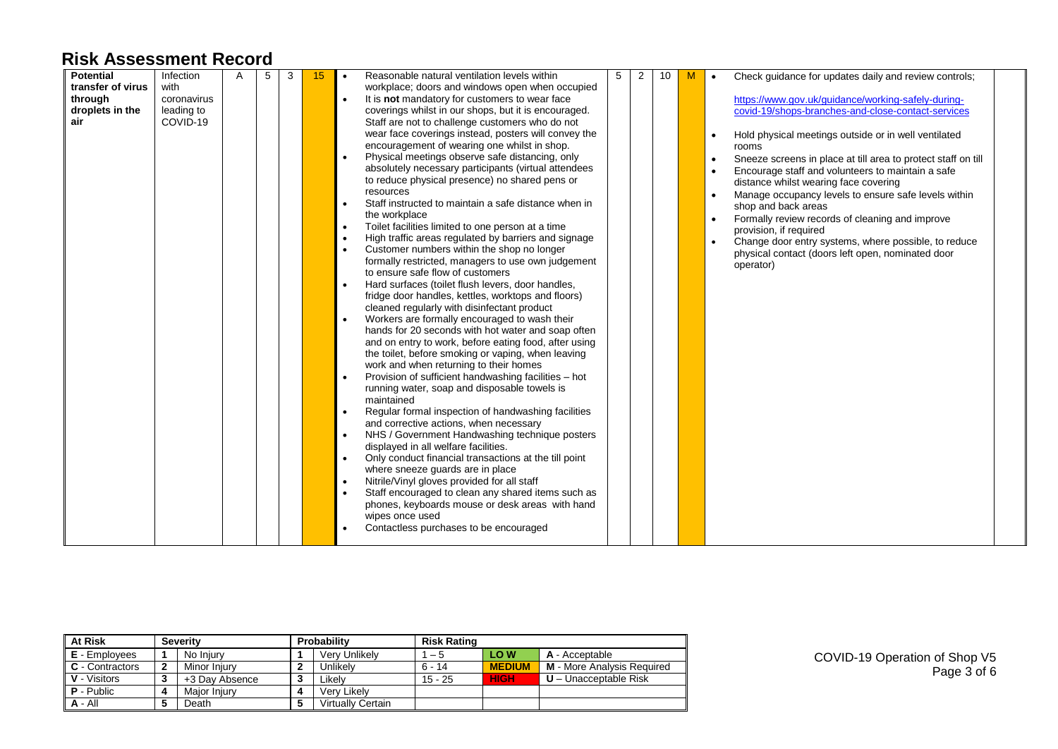| <b>Potential</b>  | Infection   | 5 | 3 | 15 | $\bullet$ | Reasonable natural ventilation levels within          | 5 | $\overline{2}$ | 10 | M | Check quidance for updates daily and review controls;<br>$\bullet$         |
|-------------------|-------------|---|---|----|-----------|-------------------------------------------------------|---|----------------|----|---|----------------------------------------------------------------------------|
| transfer of virus | with        |   |   |    |           | workplace; doors and windows open when occupied       |   |                |    |   |                                                                            |
| through           | coronavirus |   |   |    | $\bullet$ | It is not mandatory for customers to wear face        |   |                |    |   | https://www.gov.uk/guidance/working-safely-during-                         |
| droplets in the   | leading to  |   |   |    |           | coverings whilst in our shops, but it is encouraged.  |   |                |    |   | covid-19/shops-branches-and-close-contact-services                         |
| air               | COVID-19    |   |   |    |           | Staff are not to challenge customers who do not       |   |                |    |   |                                                                            |
|                   |             |   |   |    |           | wear face coverings instead, posters will convey the  |   |                |    |   | Hold physical meetings outside or in well ventilated                       |
|                   |             |   |   |    |           | encouragement of wearing one whilst in shop.          |   |                |    |   | rooms                                                                      |
|                   |             |   |   |    | $\bullet$ | Physical meetings observe safe distancing, only       |   |                |    |   | Sneeze screens in place at till area to protect staff on till<br>$\bullet$ |
|                   |             |   |   |    |           | absolutely necessary participants (virtual attendees  |   |                |    |   | Encourage staff and volunteers to maintain a safe                          |
|                   |             |   |   |    |           | to reduce physical presence) no shared pens or        |   |                |    |   | distance whilst wearing face covering                                      |
|                   |             |   |   |    |           | resources                                             |   |                |    |   | Manage occupancy levels to ensure safe levels within<br>$\bullet$          |
|                   |             |   |   |    | $\bullet$ | Staff instructed to maintain a safe distance when in  |   |                |    |   | shop and back areas                                                        |
|                   |             |   |   |    |           | the workplace                                         |   |                |    |   | Formally review records of cleaning and improve<br>$\bullet$               |
|                   |             |   |   |    | $\bullet$ | Toilet facilities limited to one person at a time     |   |                |    |   | provision, if required                                                     |
|                   |             |   |   |    | $\bullet$ | High traffic areas regulated by barriers and signage  |   |                |    |   | Change door entry systems, where possible, to reduce<br>$\bullet$          |
|                   |             |   |   |    | $\bullet$ | Customer numbers within the shop no longer            |   |                |    |   | physical contact (doors left open, nominated door                          |
|                   |             |   |   |    |           | formally restricted, managers to use own judgement    |   |                |    |   | operator)                                                                  |
|                   |             |   |   |    |           | to ensure safe flow of customers                      |   |                |    |   |                                                                            |
|                   |             |   |   |    |           | Hard surfaces (toilet flush levers, door handles,     |   |                |    |   |                                                                            |
|                   |             |   |   |    |           | fridge door handles, kettles, worktops and floors)    |   |                |    |   |                                                                            |
|                   |             |   |   |    |           | cleaned regularly with disinfectant product           |   |                |    |   |                                                                            |
|                   |             |   |   |    | $\bullet$ | Workers are formally encouraged to wash their         |   |                |    |   |                                                                            |
|                   |             |   |   |    |           | hands for 20 seconds with hot water and soap often    |   |                |    |   |                                                                            |
|                   |             |   |   |    |           | and on entry to work, before eating food, after using |   |                |    |   |                                                                            |
|                   |             |   |   |    |           | the toilet, before smoking or vaping, when leaving    |   |                |    |   |                                                                            |
|                   |             |   |   |    |           | work and when returning to their homes                |   |                |    |   |                                                                            |
|                   |             |   |   |    | $\bullet$ | Provision of sufficient handwashing facilities - hot  |   |                |    |   |                                                                            |
|                   |             |   |   |    |           | running water, soap and disposable towels is          |   |                |    |   |                                                                            |
|                   |             |   |   |    |           | maintained                                            |   |                |    |   |                                                                            |
|                   |             |   |   |    | $\bullet$ | Regular formal inspection of handwashing facilities   |   |                |    |   |                                                                            |
|                   |             |   |   |    |           | and corrective actions, when necessary                |   |                |    |   |                                                                            |
|                   |             |   |   |    | $\bullet$ | NHS / Government Handwashing technique posters        |   |                |    |   |                                                                            |
|                   |             |   |   |    |           | displayed in all welfare facilities.                  |   |                |    |   |                                                                            |
|                   |             |   |   |    | $\bullet$ | Only conduct financial transactions at the till point |   |                |    |   |                                                                            |
|                   |             |   |   |    |           | where sneeze guards are in place                      |   |                |    |   |                                                                            |
|                   |             |   |   |    | $\bullet$ | Nitrile/Vinyl gloves provided for all staff           |   |                |    |   |                                                                            |
|                   |             |   |   |    | $\bullet$ | Staff encouraged to clean any shared items such as    |   |                |    |   |                                                                            |
|                   |             |   |   |    |           | phones, keyboards mouse or desk areas with hand       |   |                |    |   |                                                                            |
|                   |             |   |   |    |           | wipes once used                                       |   |                |    |   |                                                                            |
|                   |             |   |   |    |           | Contactless purchases to be encouraged                |   |                |    |   |                                                                            |
|                   |             |   |   |    |           |                                                       |   |                |    |   |                                                                            |

| <b>At Risk</b>    |              | <b>Severity</b> |     | Probability              | <b>Risk Rating</b> |                 |                                   |  |  |  |  |
|-------------------|--------------|-----------------|-----|--------------------------|--------------------|-----------------|-----------------------------------|--|--|--|--|
| E - Employees     |              | No Iniury       |     | Verv Unlikelv            | $-5$               | LOW <sub></sub> | A - Acceptable                    |  |  |  |  |
| C - Contractors   | $\mathbf{2}$ | Minor Injury    |     | Unlikely                 | $6 - 14$           | <b>MEDIUM</b>   | <b>M</b> - More Analysis Required |  |  |  |  |
| V - Visitors      | ົ<br>J       | +3 Dav Absence  | - 3 | Likelv                   | $15 - 25$          | <b>HIGH</b>     | $U$ – Unacceptable Risk           |  |  |  |  |
| <b>P</b> - Public |              | Maior Iniury    |     | Verv Likelv              |                    |                 |                                   |  |  |  |  |
| $A - All$         | 5            | Death           |     | <b>Virtually Certain</b> |                    |                 |                                   |  |  |  |  |

COVID-19 Operation of Shop V5 Page 3 of 6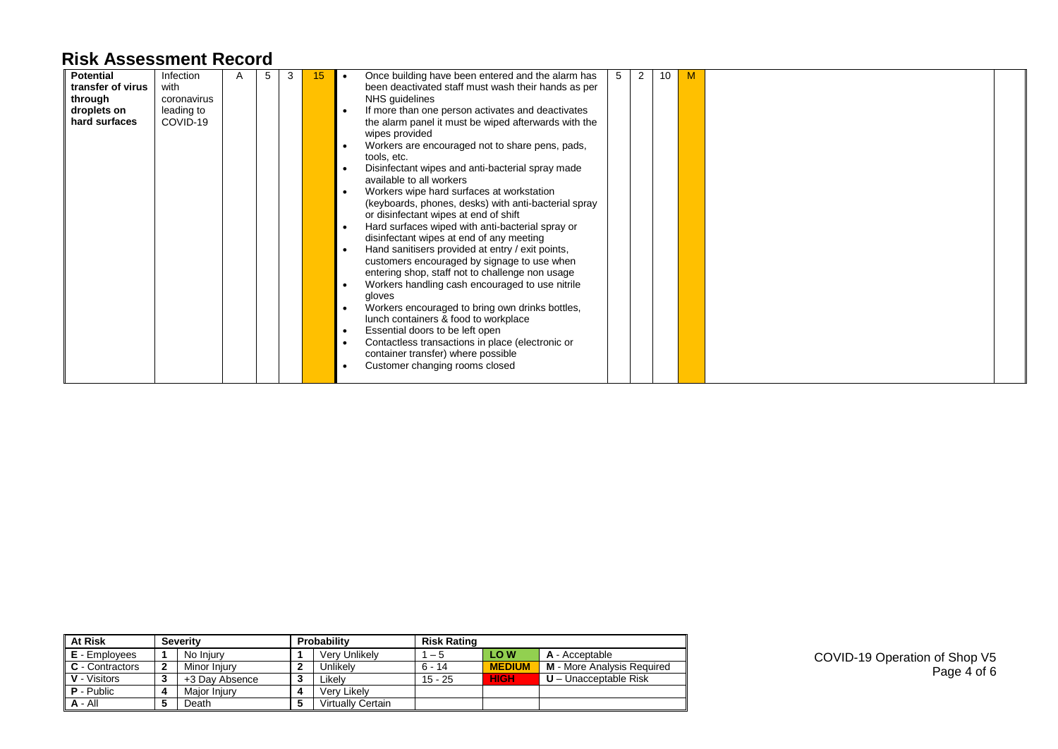| <b>Potential</b>  | Infection   | 5 | 3 | 15 |           | Once building have been entered and the alarm has    | 5 | 2 | 10 |  |  |
|-------------------|-------------|---|---|----|-----------|------------------------------------------------------|---|---|----|--|--|
| transfer of virus | with        |   |   |    |           | been deactivated staff must wash their hands as per  |   |   |    |  |  |
| through           | coronavirus |   |   |    |           | NHS guidelines                                       |   |   |    |  |  |
| droplets on       | leading to  |   |   |    |           | If more than one person activates and deactivates    |   |   |    |  |  |
| hard surfaces     | COVID-19    |   |   |    |           | the alarm panel it must be wiped afterwards with the |   |   |    |  |  |
|                   |             |   |   |    |           | wipes provided                                       |   |   |    |  |  |
|                   |             |   |   |    |           | Workers are encouraged not to share pens, pads,      |   |   |    |  |  |
|                   |             |   |   |    |           | tools, etc.                                          |   |   |    |  |  |
|                   |             |   |   |    |           | Disinfectant wipes and anti-bacterial spray made     |   |   |    |  |  |
|                   |             |   |   |    |           | available to all workers                             |   |   |    |  |  |
|                   |             |   |   |    |           | Workers wipe hard surfaces at workstation            |   |   |    |  |  |
|                   |             |   |   |    |           | (keyboards, phones, desks) with anti-bacterial spray |   |   |    |  |  |
|                   |             |   |   |    |           | or disinfectant wipes at end of shift                |   |   |    |  |  |
|                   |             |   |   |    |           | Hard surfaces wiped with anti-bacterial spray or     |   |   |    |  |  |
|                   |             |   |   |    |           | disinfectant wipes at end of any meeting             |   |   |    |  |  |
|                   |             |   |   |    |           | Hand sanitisers provided at entry / exit points,     |   |   |    |  |  |
|                   |             |   |   |    |           | customers encouraged by signage to use when          |   |   |    |  |  |
|                   |             |   |   |    |           | entering shop, staff not to challenge non usage      |   |   |    |  |  |
|                   |             |   |   |    |           | Workers handling cash encouraged to use nitrile      |   |   |    |  |  |
|                   |             |   |   |    |           | gloves                                               |   |   |    |  |  |
|                   |             |   |   |    |           | Workers encouraged to bring own drinks bottles,      |   |   |    |  |  |
|                   |             |   |   |    |           | lunch containers & food to workplace                 |   |   |    |  |  |
|                   |             |   |   |    | $\bullet$ | Essential doors to be left open                      |   |   |    |  |  |
|                   |             |   |   |    |           | Contactless transactions in place (electronic or     |   |   |    |  |  |
|                   |             |   |   |    |           | container transfer) where possible                   |   |   |    |  |  |
|                   |             |   |   |    |           | Customer changing rooms closed                       |   |   |    |  |  |
|                   |             |   |   |    |           |                                                      |   |   |    |  |  |

| <b>At Risk</b>         |             | <b>Severity</b> |   | Probability              | <b>Risk Rating</b> |                 |                            |  |  |  |  |
|------------------------|-------------|-----------------|---|--------------------------|--------------------|-----------------|----------------------------|--|--|--|--|
| E - Employees          |             | No Injury       |   | Verv Unlikelv            | $1 - 5$            | LOW <sub></sub> | A - Acceptable             |  |  |  |  |
| <b>C</b> - Contractors | $\mathbf 2$ | Minor Iniurv    | 2 | Unlikely                 | $6 - 14$           | <b>MEDIUM</b>   | M - More Analysis Required |  |  |  |  |
| <b>V</b> - Visitors    | J.          | +3 Day Absence  | 3 | Likelv                   | $15 - 25$          | <b>HIGH</b>     | $U -$ Unacceptable Risk    |  |  |  |  |
| <b>P</b> - Public      |             | Major Injury    | 4 | Verv Likelv              |                    |                 |                            |  |  |  |  |
| $A - AI$               |             | Death           | 5 | <b>Virtually Certain</b> |                    |                 |                            |  |  |  |  |

COVID-19 Operation of Shop V5 Page 4 of 6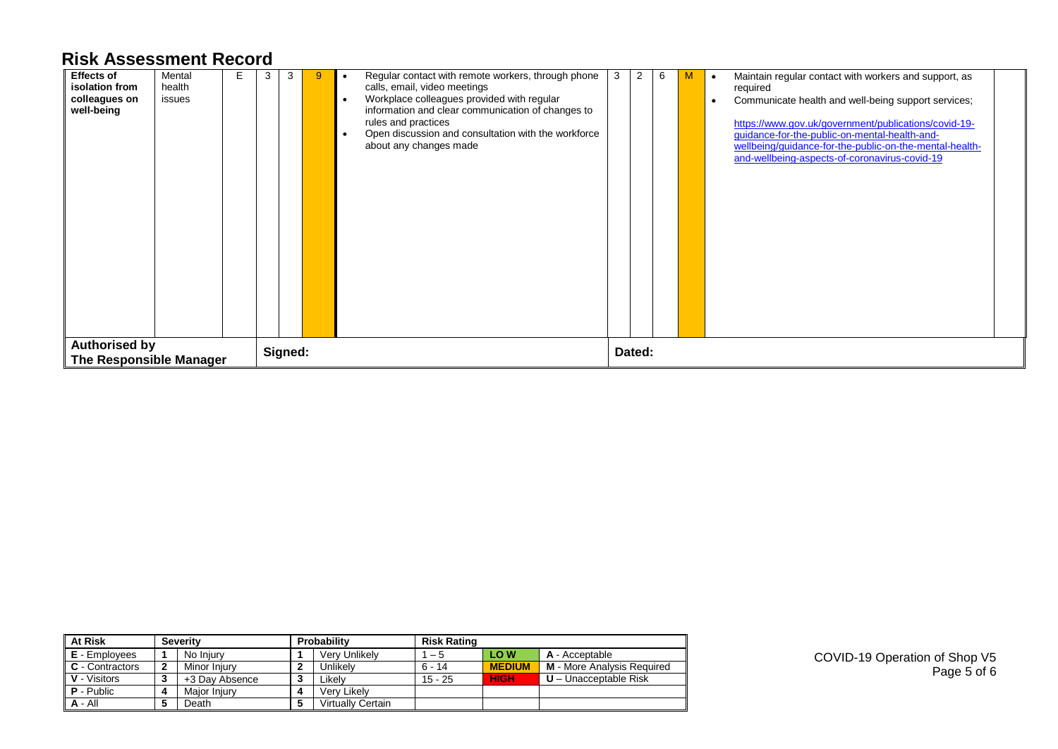| <b>Effects of</b><br>isolation from<br>colleagues on<br>well-being | Mental<br>health<br>issues | 3 | 3       | Regular contact with remote workers, through phone<br>calls, email, video meetings<br>Workplace colleagues provided with regular<br>$\bullet$<br>information and clear communication of changes to<br>rules and practices<br>Open discussion and consultation with the workforce<br>about any changes made | 3 | 2      | 6 |  | Maintain regular contact with workers and support, as<br>required<br>Communicate health and well-being support services;<br>https://www.gov.uk/government/publications/covid-19-<br>guidance-for-the-public-on-mental-health-and-<br>wellbeing/guidance-for-the-public-on-the-mental-health-<br>and-wellbeing-aspects-of-coronavirus-covid-19 |
|--------------------------------------------------------------------|----------------------------|---|---------|------------------------------------------------------------------------------------------------------------------------------------------------------------------------------------------------------------------------------------------------------------------------------------------------------------|---|--------|---|--|-----------------------------------------------------------------------------------------------------------------------------------------------------------------------------------------------------------------------------------------------------------------------------------------------------------------------------------------------|
| <b>Authorised by</b><br>The Responsible Manager                    |                            |   | Signed: |                                                                                                                                                                                                                                                                                                            |   | Dated: |   |  |                                                                                                                                                                                                                                                                                                                                               |

| <b>At Risk</b>       |   | <b>Severity</b> |   | Probability              | <b>Risk Rating</b> |               |                            |  |  |  |  |  |
|----------------------|---|-----------------|---|--------------------------|--------------------|---------------|----------------------------|--|--|--|--|--|
| <b>E</b> - Employees |   | No Injury       |   | Very Unlikely            | 1 – 5              | LO W          | A - Acceptable             |  |  |  |  |  |
| C - Contractors      | 2 | Minor Iniurv    |   | Unlikely                 | $6 - 14$           | <b>MEDIUM</b> | M - More Analysis Required |  |  |  |  |  |
| V - Visitors         | 3 | +3 Day Absence  |   | Likelv                   | $15 - 25$          | <b>HIGH</b>   | $U -$ Unacceptable Risk    |  |  |  |  |  |
| $P - Public$         | Δ | Maior Iniurv    | 4 | Verv Likelv              |                    |               |                            |  |  |  |  |  |
| $A - All$            | 5 | Death           |   | <b>Virtually Certain</b> |                    |               |                            |  |  |  |  |  |

COVID-19 Operation of Shop V5 Page 5 of 6